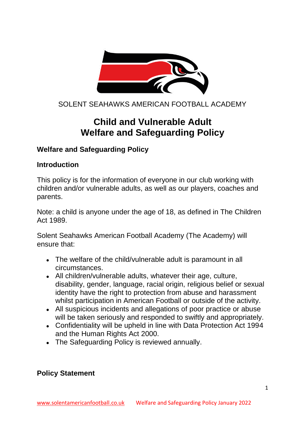

# SOLENT SEAHAWKS AMERICAN FOOTBALL ACADEMY

# **Child and Vulnerable Adult Welfare and Safeguarding Policy**

#### **Welfare and Safeguarding Policy**

#### **Introduction**

This policy is for the information of everyone in our club working with children and/or vulnerable adults, as well as our players, coaches and parents.

Note: a child is anyone under the age of 18, as defined in The Children Act 1989.

Solent Seahawks American Football Academy (The Academy) will ensure that:

- The welfare of the child/vulnerable adult is paramount in all circumstances.
- All children/vulnerable adults, whatever their age, culture, disability, gender, language, racial origin, religious belief or sexual identity have the right to protection from abuse and harassment whilst participation in American Football or outside of the activity.
- All suspicious incidents and allegations of poor practice or abuse will be taken seriously and responded to swiftly and appropriately.
- Confidentiality will be upheld in line with Data Protection Act 1994 and the Human Rights Act 2000.
- The Safeguarding Policy is reviewed annually.

#### **Policy Statement**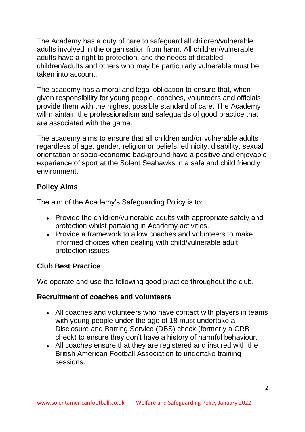The Academy has a duty of care to safeguard all children/vulnerable adults involved in the organisation from harm. All children/vulnerable adults have a right to protection, and the needs of disabled children/adults and others who may be particularly vulnerable must be taken into account.

The academy has a moral and legal obligation to ensure that, when given responsibility for young people, coaches, volunteers and officials provide them with the highest possible standard of care. The Academy will maintain the professionalism and safeguards of good practice that are associated with the game.

The academy aims to ensure that all children and/or vulnerable adults regardless of age, gender, religion or beliefs, ethnicity, disability, sexual orientation or socio-economic background have a positive and enjoyable experience of sport at the Solent Seahawks in a safe and child friendly environment.

### **Policy Aims**

The aim of the Academy's Safeguarding Policy is to:

- Provide the children/vulnerable adults with appropriate safety and protection whilst partaking in Academy activities.
- Provide a framework to allow coaches and volunteers to make informed choices when dealing with child/vulnerable adult protection issues.

#### **Club Best Practice**

We operate and use the following good practice throughout the club.

#### **Recruitment of coaches and volunteers**

- All coaches and volunteers who have contact with players in teams with young people under the age of 18 must undertake a Disclosure and Barring Service (DBS) check (formerly a CRB check) to ensure they don't have a history of harmful behaviour.
- All coaches ensure that they are registered and insured with the British American Football Association to undertake training sessions.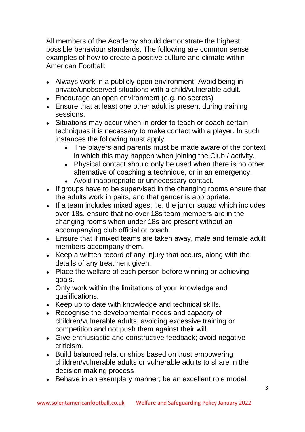All members of the Academy should demonstrate the highest possible behaviour standards. The following are common sense examples of how to create a positive culture and climate within American Football:

- Always work in a publicly open environment. Avoid being in private/unobserved situations with a child/vulnerable adult.
- Encourage an open environment (e.g. no secrets)
- Ensure that at least one other adult is present during training sessions.
- Situations may occur when in order to teach or coach certain techniques it is necessary to make contact with a player. In such instances the following must apply:
	- The players and parents must be made aware of the context in which this may happen when joining the Club / activity.
	- Physical contact should only be used when there is no other alternative of coaching a technique, or in an emergency.
	- Avoid inappropriate or unnecessary contact.
- If groups have to be supervised in the changing rooms ensure that the adults work in pairs, and that gender is appropriate.
- If a team includes mixed ages, i.e. the junior squad which includes over 18s, ensure that no over 18s team members are in the changing rooms when under 18s are present without an accompanying club official or coach.
- Ensure that if mixed teams are taken away, male and female adult members accompany them.
- Keep a written record of any injury that occurs, along with the details of any treatment given.
- Place the welfare of each person before winning or achieving goals.
- Only work within the limitations of your knowledge and qualifications.
- Keep up to date with knowledge and technical skills.
- Recognise the developmental needs and capacity of children/vulnerable adults, avoiding excessive training or competition and not push them against their will.
- Give enthusiastic and constructive feedback; avoid negative criticism.
- Build balanced relationships based on trust empowering children/vulnerable adults or vulnerable adults to share in the decision making process
- Behave in an exemplary manner; be an excellent role model.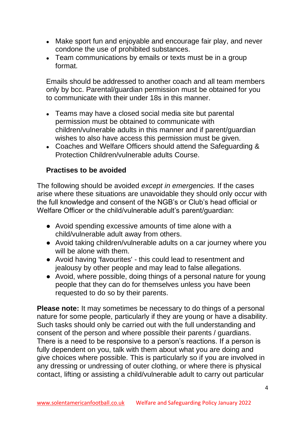- Make sport fun and enjoyable and encourage fair play, and never condone the use of prohibited substances.
- Team communications by emails or texts must be in a group format.

Emails should be addressed to another coach and all team members only by bcc. Parental/guardian permission must be obtained for you to communicate with their under 18s in this manner.

- Teams may have a closed social media site but parental permission must be obtained to communicate with children/vulnerable adults in this manner and if parent/guardian wishes to also have access this permission must be given.
- Coaches and Welfare Officers should attend the Safeguarding & Protection Children/vulnerable adults Course.

## **Practises to be avoided**

The following should be avoided *except in emergencies.* If the cases arise where these situations are unavoidable they should only occur with the full knowledge and consent of the NGB's or Club's head official or Welfare Officer or the child/vulnerable adult's parent/guardian:

- Avoid spending excessive amounts of time alone with a child/vulnerable adult away from others.
- Avoid taking children/vulnerable adults on a car journey where you will be alone with them.
- Avoid having 'favourites' this could lead to resentment and jealousy by other people and may lead to false allegations.
- Avoid, where possible, doing things of a personal nature for young people that they can do for themselves unless you have been requested to do so by their parents.

**Please note:** It may sometimes be necessary to do things of a personal nature for some people, particularly if they are young or have a disability. Such tasks should only be carried out with the full understanding and consent of the person and where possible their parents / guardians. There is a need to be responsive to a person's reactions. If a person is fully dependent on you, talk with them about what you are doing and give choices where possible. This is particularly so if you are involved in any dressing or undressing of outer clothing, or where there is physical contact, lifting or assisting a child/vulnerable adult to carry out particular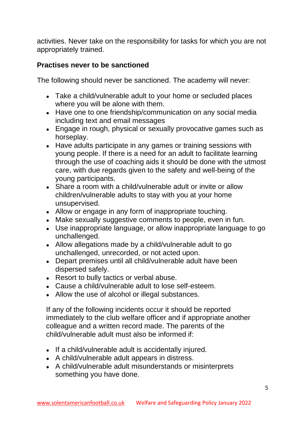activities. Never take on the responsibility for tasks for which you are not appropriately trained.

#### **Practises never to be sanctioned**

The following should never be sanctioned. The academy will never:

- Take a child/vulnerable adult to your home or secluded places where you will be alone with them.
- Have one to one friendship/communication on any social media including text and email messages
- Engage in rough, physical or sexually provocative games such as horseplay.
- Have adults participate in any games or training sessions with young people. If there is a need for an adult to facilitate learning through the use of coaching aids it should be done with the utmost care, with due regards given to the safety and well-being of the young participants.
- Share a room with a child/vulnerable adult or invite or allow children/vulnerable adults to stay with you at your home unsupervised.
- Allow or engage in any form of inappropriate touching.
- Make sexually suggestive comments to people, even in fun.
- Use inappropriate language, or allow inappropriate language to go unchallenged.
- Allow allegations made by a child/vulnerable adult to go unchallenged, unrecorded, or not acted upon.
- Depart premises until all child/vulnerable adult have been dispersed safely.
- Resort to bully tactics or verbal abuse.
- Cause a child/vulnerable adult to lose self-esteem.
- Allow the use of alcohol or illegal substances.

If any of the following incidents occur it should be reported immediately to the club welfare officer and if appropriate another colleague and a written record made. The parents of the child/vulnerable adult must also be informed if:

- If a child/vulnerable adult is accidentally injured.
- A child/vulnerable adult appears in distress.
- A child/vulnerable adult misunderstands or misinterprets something you have done.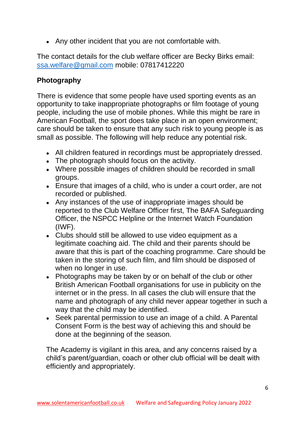• Any other incident that you are not comfortable with.

The contact details for the club welfare officer are Becky Birks email: [ssa.welfare@gmail.com](mailto:ssa.welfare@gmail.com) mobile: 07817412220

## **Photography**

There is evidence that some people have used sporting events as an opportunity to take inappropriate photographs or film footage of young people, including the use of mobile phones. While this might be rare in American Football, the sport does take place in an open environment; care should be taken to ensure that any such risk to young people is as small as possible. The following will help reduce any potential risk.

- All children featured in recordings must be appropriately dressed.
- The photograph should focus on the activity.
- Where possible images of children should be recorded in small groups.
- Ensure that images of a child, who is under a court order, are not recorded or published.
- Any instances of the use of inappropriate images should be reported to the Club Welfare Officer first, The BAFA Safeguarding Officer, the NSPCC Helpline or the Internet Watch Foundation (IWF).
- Clubs should still be allowed to use video equipment as a legitimate coaching aid. The child and their parents should be aware that this is part of the coaching programme. Care should be taken in the storing of such film, and film should be disposed of when no longer in use.
- Photographs may be taken by or on behalf of the club or other British American Football organisations for use in publicity on the internet or in the press. In all cases the club will ensure that the name and photograph of any child never appear together in such a way that the child may be identified.
- Seek parental permission to use an image of a child. A Parental Consent Form is the best way of achieving this and should be done at the beginning of the season.

The Academy is vigilant in this area, and any concerns raised by a child's parent/guardian, coach or other club official will be dealt with efficiently and appropriately.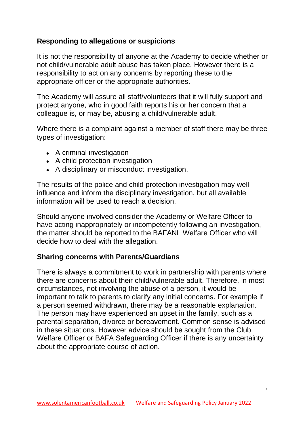## **Responding to allegations or suspicions**

It is not the responsibility of anyone at the Academy to decide whether or not child/vulnerable adult abuse has taken place. However there is a responsibility to act on any concerns by reporting these to the appropriate officer or the appropriate authorities.

The Academy will assure all staff/volunteers that it will fully support and protect anyone, who in good faith reports his or her concern that a colleague is, or may be, abusing a child/vulnerable adult.

Where there is a complaint against a member of staff there may be three types of investigation:

- A criminal investigation
- A child protection investigation
- A disciplinary or misconduct investigation.

The results of the police and child protection investigation may well influence and inform the disciplinary investigation, but all available information will be used to reach a decision.

Should anyone involved consider the Academy or Welfare Officer to have acting inappropriately or incompetently following an investigation, the matter should be reported to the BAFANL Welfare Officer who will decide how to deal with the allegation.

#### **Sharing concerns with Parents/Guardians**

There is always a commitment to work in partnership with parents where there are concerns about their child/vulnerable adult. Therefore, in most circumstances, not involving the abuse of a person, it would be important to talk to parents to clarify any initial concerns. For example if a person seemed withdrawn, there may be a reasonable explanation. The person may have experienced an upset in the family, such as a parental separation, divorce or bereavement. Common sense is advised in these situations. However advice should be sought from the Club Welfare Officer or BAFA Safeguarding Officer if there is any uncertainty about the appropriate course of action.

7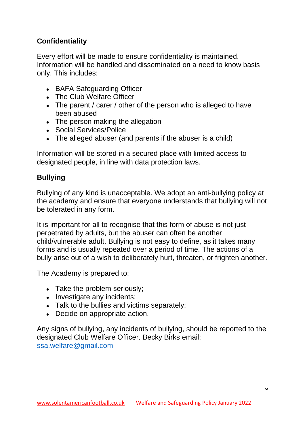# **Confidentiality**

Every effort will be made to ensure confidentiality is maintained. Information will be handled and disseminated on a need to know basis only. This includes:

- BAFA Safeguarding Officer
- The Club Welfare Officer
- The parent / carer / other of the person who is alleged to have been abused
- The person making the allegation
- Social Services/Police
- $\bullet$  The alleged abuser (and parents if the abuser is a child)

Information will be stored in a secured place with limited access to designated people, in line with data protection laws.

# **Bullying**

Bullying of any kind is unacceptable. We adopt an anti-bullying policy at the academy and ensure that everyone understands that bullying will not be tolerated in any form.

It is important for all to recognise that this form of abuse is not just perpetrated by adults, but the abuser can often be another child/vulnerable adult. Bullying is not easy to define, as it takes many forms and is usually repeated over a period of time. The actions of a bully arise out of a wish to deliberately hurt, threaten, or frighten another.

The Academy is prepared to:

- Take the problem seriously;
- Investigate any incidents;
- Talk to the bullies and victims separately;
- Decide on appropriate action.

Any signs of bullying, any incidents of bullying, should be reported to the designated Club Welfare Officer. Becky Birks email: [ssa.welfare@gmail.com](mailto:ssa.welfare@gmail.com)